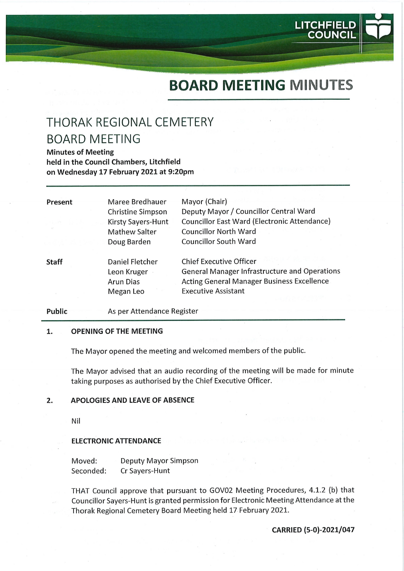# BOARD MEETING MINUTES

**LITCHFIELD** COUNCIL

# THORAK REGIONAL CEMETERY BOARD MEETING

Minutes of Meeting held in the Council Chambers, Litchfield on Wednesday 17 February 2021 at 9:20pm

| Present      | Maree Bredhauer          | Mayor (Chair)                                        |
|--------------|--------------------------|------------------------------------------------------|
|              | <b>Christine Simpson</b> | Deputy Mayor / Councillor Central Ward               |
|              | Kirsty Sayers-Hunt       | Councillor East Ward (Electronic Attendance)         |
|              | <b>Mathew Salter</b>     | <b>Councillor North Ward</b>                         |
|              | Doug Barden              | <b>Councillor South Ward</b>                         |
| <b>Staff</b> | Daniel Fletcher          | <b>Chief Executive Officer</b>                       |
|              | Leon Kruger              | <b>General Manager Infrastructure and Operations</b> |
|              | <b>Arun Dias</b>         | <b>Acting General Manager Business Excellence</b>    |
|              | Megan Leo                | <b>Executive Assistant</b>                           |
|              |                          |                                                      |

#### Public **As per Attendance Register**

#### 1. OPENING OF THE MEETING

The Mayor opened the meeting and welcomed members of the public.

The Mayor advised that an audio recording of the meeting will be made for minute taking purposes as authorised by the Chief Executive Officer.

#### 2. APOLOGIES AND LEAVE OF ABSENCE

Nil

#### ELECTRONIC ATTENDANCE

Moved: Deputy Mayor Simpson Seconded: Cr Sayers-Hunt

THAT Council approve that pursuant to GOV02 Meeting Procedures, 4.1.2 (b) that Councillor Sayers-Hunt is granted permission for Electronic Meeting Attendance at the Thorak Regional Cemetery Board Meeting held 17 February 2021.

CARRIED (5-0)-2021/047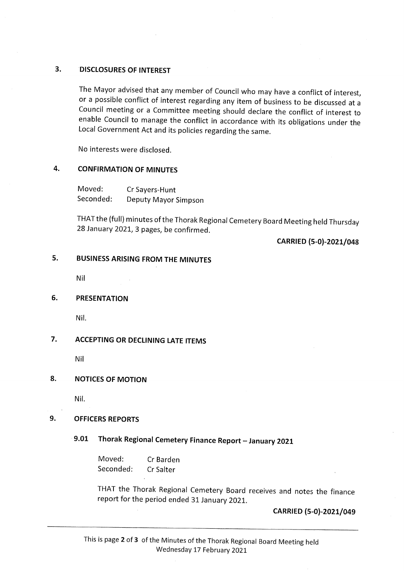### 3. DISCLOSURES OF INTEREST

The Mayor advised that any member of Council who may have a conflict of interest, or a possible conflict of interest regarding any item of business to be discussed at a Council meeting or a Committee meeting should declare the conflict of interest to enable Council to manage the conflict in accordance with its obligations under the Local Government Act and its policies regarding the same.

No interests were disclosed.

#### 4. CONFIRMATION OF MINUTES

Moved: Cr Sayers-Hunt<br>Seconded: Deputy Mayor Moved: Deputy Mayor Simpson

THATthe (full) minutes of the Thorak Regional Cemetery Board Meeting held Thursday 28 January 2021, 3 pages, be confirmed.

CARRIED (5-0)-2021/048

#### $5.$ 5. BUSINESS ARISING FROM THE MINUTES

Nil

#### 6. PRESENTATION

Nil.

### 7. ACCEPTING OR DECLINING LATE ITEMS

Nil

#### 8. NOTICES OF MOTION

Nil.

#### 9. OFFICERS REPORTS

## 9.01 Thorak Regional Cemetery Finance Report - January 2021

Moved: Cr Barden Seconded: Cr Salter

THAT the Thorak Regional Cemetery Board receives and notes the finance report for the period ended 31 January 2021.

CARRIED (5-0)-2021/049